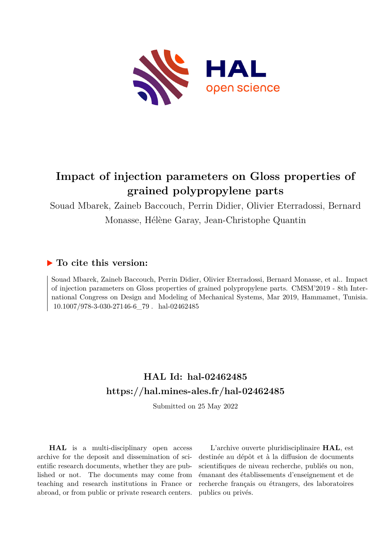

# **Impact of injection parameters on Gloss properties of grained polypropylene parts**

Souad Mbarek, Zaineb Baccouch, Perrin Didier, Olivier Eterradossi, Bernard Monasse, Hélène Garay, Jean-Christophe Quantin

# **To cite this version:**

Souad Mbarek, Zaineb Baccouch, Perrin Didier, Olivier Eterradossi, Bernard Monasse, et al.. Impact of injection parameters on Gloss properties of grained polypropylene parts. CMSM'2019 - 8th International Congress on Design and Modeling of Mechanical Systems, Mar 2019, Hammamet, Tunisia.  $10.1007/978-3-030-27146-6$  79 hal-02462485

# **HAL Id: hal-02462485 <https://hal.mines-ales.fr/hal-02462485>**

Submitted on 25 May 2022

**HAL** is a multi-disciplinary open access archive for the deposit and dissemination of scientific research documents, whether they are published or not. The documents may come from teaching and research institutions in France or abroad, or from public or private research centers.

L'archive ouverte pluridisciplinaire **HAL**, est destinée au dépôt et à la diffusion de documents scientifiques de niveau recherche, publiés ou non, émanant des établissements d'enseignement et de recherche français ou étrangers, des laboratoires publics ou privés.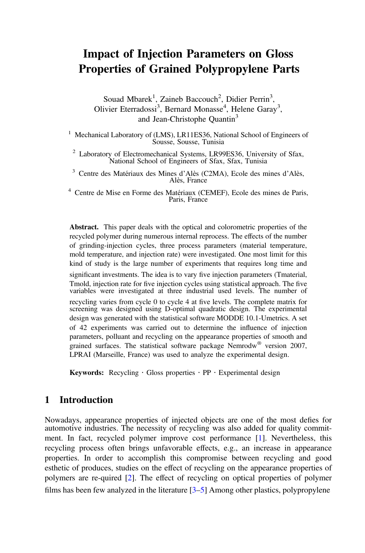# Impact of Injection Parameters on Gloss Properties of Grained Polypropylene Parts

Souad Mbarek<sup>1</sup>, Zaineb Baccouch<sup>2</sup>, Didier Perrin<sup>3</sup>, Olivier Eterradossi<sup>3</sup>, Bernard Monasse<sup>4</sup>, Helene Garay<sup>3</sup>, and Jean-Christophe Quantin<sup>3</sup>

<sup>1</sup> Mechanical Laboratory of (LMS), LR11ES36, National School of Engineers of Sousse, Sousse, Tunisia

<sup>2</sup> Laboratory of Electromechanical Systems, LR99ES36, University of Sfax, National School of Engineers of Sfax, Sfax, Tunisia

<sup>3</sup> Centre des Matériaux des Mines d'Alès (C2MA), Ecole des mines d'Alès, Alès, France

<sup>4</sup> Centre de Mise en Forme des Matériaux (CEMEF), Ecole des mines de Paris, Paris, France

Abstract. This paper deals with the optical and colorometric properties of the recycled polymer during numerous internal reprocess. The effects of the number of grinding-injection cycles, three process parameters (material temperature, mold temperature, and injection rate) were investigated. One most limit for this kind of study is the large number of experiments that requires long time and significant investments. The idea is to vary five injection parameters (Tmaterial, Tmold, injection rate for five injection cycles using statistical approach. The five variables were investigated at three industrial used levels. The number of recycling varies from cycle 0 to cycle 4 at five levels. The complete matrix for screening was designed using D-optimal quadratic design. The experimental design was generated with the statistical software MODDE 10.1-Umetrics. A set of 42 experiments was carried out to determine the influence of injection parameters, polluant and recycling on the appearance properties of smooth and grained surfaces. The statistical software package Nemrodw® version 2007, LPRAI (Marseille, France) was used to analyze the experimental design.

Keywords: Recycling  $\cdot$  Gloss properties  $\cdot$  PP  $\cdot$  Experimental design

# 1 Introduction

Nowadays, appearance properties of injected objects are one of the most defies for automotive industries. The necessity of recycling was also added for quality commitment. In fact, recycled polymer improve cost performance [1]. Nevertheless, this recycling process often brings unfavorable effects, e.g., an increase in appearance properties. In order to accomplish this compromise between recycling and good esthetic of produces, studies on the effect of recycling on the appearance properties of polymers are re-quired [2]. The effect of recycling on optical properties of polymer films has been few analyzed in the literature  $[3-5]$  Among other plastics, polypropylene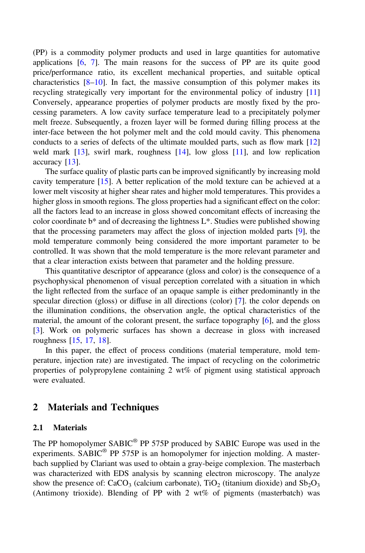(PP) is a commodity polymer products and used in large quantities for automative applications [6, 7]. The main reasons for the success of PP are its quite good price/performance ratio, its excellent mechanical properties, and suitable optical characteristics  $[8-10]$ . In fact, the massive consumption of this polymer makes its recycling strategically very important for the environmental policy of industry [11] Conversely, appearance properties of polymer products are mostly fixed by the processing parameters. A low cavity surface temperature lead to a precipitately polymer melt freeze. Subsequently, a frozen layer will be formed during filling process at the inter-face between the hot polymer melt and the cold mould cavity. This phenomena conducts to a series of defects of the ultimate moulded parts, such as flow mark [12] weld mark [13], swirl mark, roughness [14], low gloss [11], and low replication accuracy [13].

The surface quality of plastic parts can be improved significantly by increasing mold cavity temperature [15]. A better replication of the mold texture can be achieved at a lower melt viscosity at higher shear rates and higher mold temperatures. This provides a higher gloss in smooth regions. The gloss properties had a significant effect on the color: all the factors lead to an increase in gloss showed concomitant effects of increasing the color coordinate b\* and of decreasing the lightness L\*. Studies were published showing that the processing parameters may affect the gloss of injection molded parts [9], the mold temperature commonly being considered the more important parameter to be controlled. It was shown that the mold temperature is the more relevant parameter and that a clear interaction exists between that parameter and the holding pressure.

This quantitative descriptor of appearance (gloss and color) is the consequence of a psychophysical phenomenon of visual perception correlated with a situation in which the light reflected from the surface of an opaque sample is either predominantly in the specular direction (gloss) or diffuse in all directions (color) [7]. the color depends on the illumination conditions, the observation angle, the optical characteristics of the material, the amount of the colorant present, the surface topography [6], and the gloss [3]. Work on polymeric surfaces has shown a decrease in gloss with increased roughness [15, 17, 18].

In this paper, the effect of process conditions (material temperature, mold temperature, injection rate) are investigated. The impact of recycling on the colorimetric properties of polypropylene containing 2 wt% of pigment using statistical approach were evaluated.

## 2 Materials and Techniques

#### 2.1 Materials

The PP homopolymer SABIC<sup>®</sup> PP 575P produced by SABIC Europe was used in the experiments. SABIC® PP 575P is an homopolymer for injection molding. A masterbach supplied by Clariant was used to obtain a gray-beige complexion. The masterbach was characterized with EDS analysis by scanning electron microscopy. The analyze show the presence of:  $CaCO<sub>3</sub>$  (calcium carbonate),  $TiO<sub>2</sub>$  (titanium dioxide) and  $Sb<sub>2</sub>O<sub>3</sub>$ (Antimony trioxide). Blending of PP with 2 wt% of pigments (masterbatch) was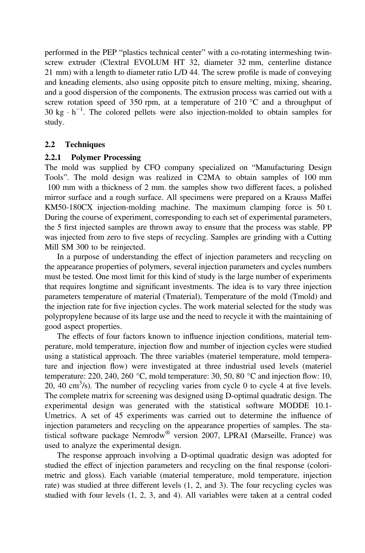performed in the PEP "plastics technical center" with a co-rotating intermeshing twinscrew extruder (Clextral EVOLUM HT 32, diameter 32 mm, centerline distance 21 mm) with a length to diameter ratio L/D 44. The screw profile is made of conveying and kneading elements, also using opposite pitch to ensure melting, mixing, shearing, and a good dispersion of the components. The extrusion process was carried out with a screw rotation speed of 350 rpm, at a temperature of 210  $\degree$ C and a throughput of 30 kg  $\cdot$  h<sup>-1</sup>. The colored pellets were also injection-molded to obtain samples for study.

#### 2.2 Techniques

#### 2.2.1 Polymer Processing

The mold was supplied by CFO company specialized on "Manufacturing Design Tools". The mold design was realized in C2MA to obtain samples of 100 mm 100 mm with a thickness of 2 mm. the samples show two different faces, a polished mirror surface and a rough surface. All specimens were prepared on a Krauss Maffei KM50-180CX injection-molding machine. The maximum clamping force is 50 t. During the course of experiment, corresponding to each set of experimental parameters, the 5 first injected samples are thrown away to ensure that the process was stable. PP was injected from zero to five steps of recycling. Samples are grinding with a Cutting Mill SM 300 to be reinjected.

In a purpose of understanding the effect of injection parameters and recycling on the appearance properties of polymers, several injection parameters and cycles numbers must be tested. One most limit for this kind of study is the large number of experiments that requires longtime and significant investments. The idea is to vary three injection parameters temperature of material (Tmaterial), Temperature of the mold (Tmold) and the injection rate for five injection cycles. The work material selected for the study was polypropylene because of its large use and the need to recycle it with the maintaining of good aspect properties.

The effects of four factors known to influence injection conditions, material temperature, mold temperature, injection flow and number of injection cycles were studied using a statistical approach. The three variables (materiel temperature, mold temperature and injection flow) were investigated at three industrial used levels (materiel temperature: 220, 240, 260 °C, mold temperature: 30, 50, 80 °C and injection flow: 10, 20, 40 cm<sup>3</sup>/s). The number of recycling varies from cycle 0 to cycle 4 at five levels. The complete matrix for screening was designed using D-optimal quadratic design. The experimental design was generated with the statistical software MODDE 10.1- Umetrics. A set of 45 experiments was carried out to determine the influence of injection parameters and recycling on the appearance properties of samples. The statistical software package Nemrodw® version 2007, LPRAI (Marseille, France) was used to analyze the experimental design.

The response approach involving a D-optimal quadratic design was adopted for studied the effect of injection parameters and recycling on the final response (colorimetric and gloss). Each variable (material temperature, mold temperature, injection rate) was studied at three different levels (1, 2, and 3). The four recycling cycles was studied with four levels (1, 2, 3, and 4). All variables were taken at a central coded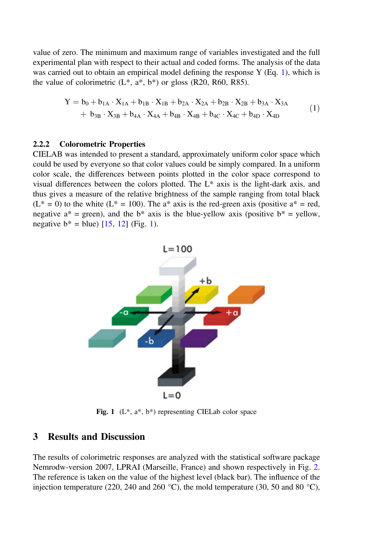value of zero. The minimum and maximum range of variables investigated and the full experimental plan with respect to their actual and coded forms. The analysis of the data was carried out to obtain an empirical model defining the response  $Y(Eq, 1)$ , which is the value of colorimetric  $(L^*, a^*, b^*)$  or gloss (R20, R60, R85).

$$
Y = b_0 + b_{1A} \cdot X_{1A} + b_{1B} \cdot X_{1B} + b_{2A} \cdot X_{2A} + b_{2B} \cdot X_{2B} + b_{3A} \cdot X_{3A} + b_{3B} \cdot X_{3B} + b_{4A} \cdot X_{4A} + b_{4B} \cdot X_{4B} + b_{4C} \cdot X_{4C} + b_{4D} \cdot X_{4D}
$$
 (1)

#### 2.2.2 Colorometric Properties

CIELAB was intended to present a standard, approximately uniform color space which could be used by everyone so that color values could be simply compared. In a uniform color scale, the differences between points plotted in the color space correspond to visual differences between the colors plotted. The L\* axis is the light-dark axis, and thus gives a measure of the relative brightness of the sample ranging from total black  $(L^* = 0)$  to the white  $(L^* = 100)$ . The a<sup>\*</sup> axis is the red-green axis (positive a<sup>\*</sup> = red, negative  $a^*$  = green), and the  $b^*$  axis is the blue-yellow axis (positive  $b^*$  = yellow, negative  $b^* = blue$ ) [15, 12] (Fig. 1).



Fig. 1  $(L^*, a^*, b^*)$  representing CIELab color space

## 3 Results and Discussion

The results of colorimetric responses are analyzed with the statistical software package Nemrodw-version 2007, LPRAI (Marseille, France) and shown respectively in Fig. 2. The reference is taken on the value of the highest level (black bar). The influence of the injection temperature (220, 240 and 260 °C), the mold temperature (30, 50 and 80 °C),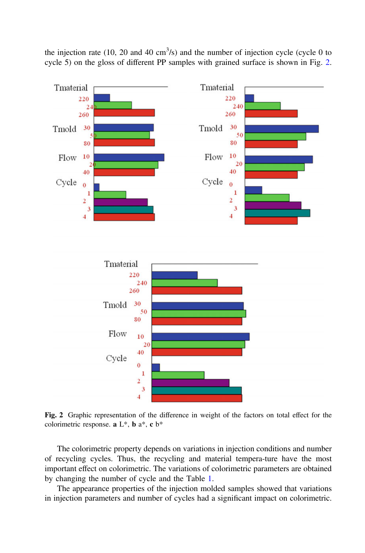the injection rate (10, 20 and 40  $\text{cm}^3\text{/s}$ ) and the number of injection cycle (cycle 0 to cycle 5) on the gloss of different PP samples with grained surface is shown in Fig. 2.



Fig. 2 Graphic representation of the difference in weight of the factors on total effect for the colorimetric response. a L\*, b a\*, c b\*

The colorimetric property depends on variations in injection conditions and number of recycling cycles. Thus, the recycling and material tempera-ture have the most important effect on colorimetric. The variations of colorimetric parameters are obtained by changing the number of cycle and the Table 1.

The appearance properties of the injection molded samples showed that variations in injection parameters and number of cycles had a significant impact on colorimetric.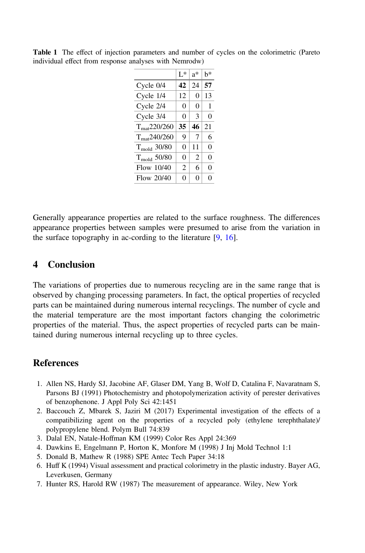|                        | $L^*$          | $a^*$          | h* |
|------------------------|----------------|----------------|----|
| $C$ ycle $0/4$         | 42             | 24             | 57 |
| Cycle 1/4              | 12             | 0              | 13 |
| Cycle 2/4              | $\theta$       | 0              | 1  |
| Cycle 3/4              | $\theta$       | 3              | 0  |
| $T_{\rm mat}$ 220/260  | 35             | 46             | 21 |
| $T_{\rm mat}$ 240/260  | 9              | 7              | 6  |
| $T_{\text{mod}}$ 30/80 | 0              | 11             | 0  |
| $T_{\text{mod}}$ 50/80 | 0              | $\overline{c}$ | 0  |
| Flow 10/40             | $\overline{c}$ | 6              | 0  |
| Flow 20/40             | 0              | 0              | 0  |

Table 1 The effect of injection parameters and number of cycles on the colorimetric (Pareto individual effect from response analyses with Nemrodw)

Generally appearance properties are related to the surface roughness. The differences appearance properties between samples were presumed to arise from the variation in the surface topography in ac-cording to the literature [9, 16].

## 4 Conclusion

The variations of properties due to numerous recycling are in the same range that is observed by changing processing parameters. In fact, the optical properties of recycled parts can be maintained during numerous internal recyclings. The number of cycle and the material temperature are the most important factors changing the colorimetric properties of the material. Thus, the aspect properties of recycled parts can be maintained during numerous internal recycling up to three cycles.

## **References**

- 1. Allen NS, Hardy SJ, Jacobine AF, Glaser DM, Yang B, Wolf D, Catalina F, Navaratnam S, Parsons BJ (1991) Photochemistry and photopolymerization activity of perester derivatives of benzophenone. J Appl Poly Sci 42:1451
- 2. Baccouch Z, Mbarek S, Jaziri M (2017) Experimental investigation of the effects of a compatibilizing agent on the properties of a recycled poly (ethylene terephthalate)/ polypropylene blend. Polym Bull 74:839
- 3. Dalal EN, Natale-Hoffman KM (1999) Color Res Appl 24:369
- 4. Dawkins E, Engelmann P, Horton K, Monfore M (1998) J Inj Mold Technol 1:1
- 5. Donald B, Mathew R (1988) SPE Antec Tech Paper 34:18
- 6. Huff K (1994) Visual assessment and practical colorimetry in the plastic industry. Bayer AG, Leverkusen, Germany
- 7. Hunter RS, Harold RW (1987) The measurement of appearance. Wiley, New York